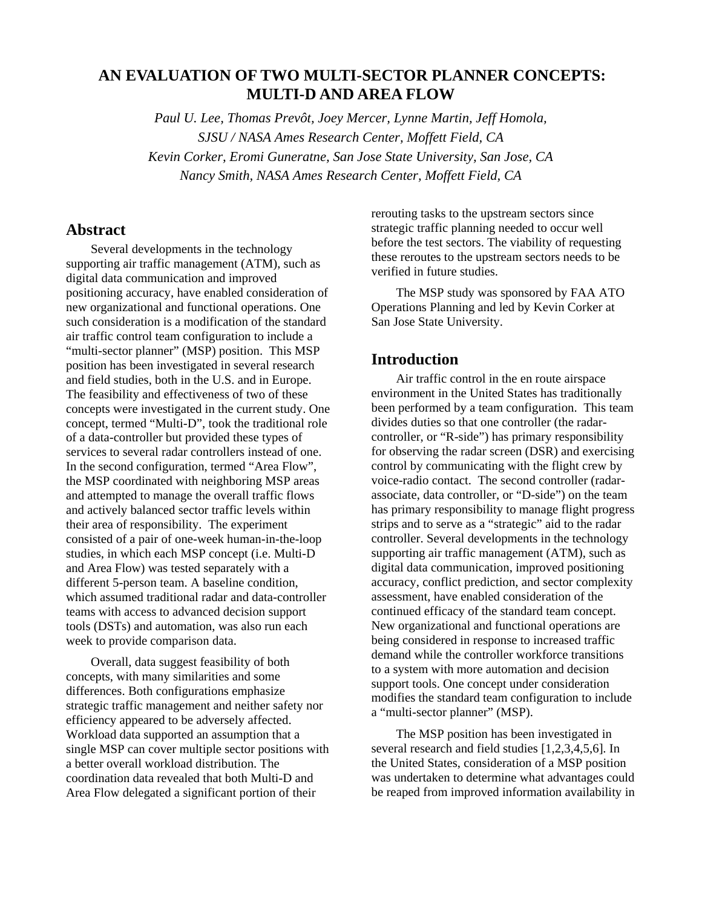# **AN EVALUATION OF TWO MULTI-SECTOR PLANNER CONCEPTS: MULTI-D AND AREA FLOW**

*Paul U. Lee, Thomas Prevôt, Joey Mercer, Lynne Martin, Jeff Homola, SJSU / NASA Ames Research Center, Moffett Field, CA Kevin Corker, Eromi Guneratne, San Jose State University, San Jose, CA Nancy Smith, NASA Ames Research Center, Moffett Field, CA* 

# **Abstract**

Several developments in the technology supporting air traffic management (ATM), such as digital data communication and improved positioning accuracy, have enabled consideration of new organizational and functional operations. One such consideration is a modification of the standard air traffic control team configuration to include a "multi-sector planner" (MSP) position. This MSP position has been investigated in several research and field studies, both in the U.S. and in Europe. The feasibility and effectiveness of two of these concepts were investigated in the current study. One concept, termed "Multi-D", took the traditional role of a data-controller but provided these types of services to several radar controllers instead of one. In the second configuration, termed "Area Flow", the MSP coordinated with neighboring MSP areas and attempted to manage the overall traffic flows and actively balanced sector traffic levels within their area of responsibility. The experiment consisted of a pair of one-week human-in-the-loop studies, in which each MSP concept (i.e. Multi-D and Area Flow) was tested separately with a different 5-person team. A baseline condition, which assumed traditional radar and data-controller teams with access to advanced decision support tools (DSTs) and automation, was also run each week to provide comparison data.

Overall, data suggest feasibility of both concepts, with many similarities and some differences. Both configurations emphasize strategic traffic management and neither safety nor efficiency appeared to be adversely affected. Workload data supported an assumption that a single MSP can cover multiple sector positions with a better overall workload distribution. The coordination data revealed that both Multi-D and Area Flow delegated a significant portion of their

rerouting tasks to the upstream sectors since strategic traffic planning needed to occur well before the test sectors. The viability of requesting these reroutes to the upstream sectors needs to be verified in future studies.

The MSP study was sponsored by FAA ATO Operations Planning and led by Kevin Corker at San Jose State University.

# **Introduction**

Air traffic control in the en route airspace environment in the United States has traditionally been performed by a team configuration. This team divides duties so that one controller (the radarcontroller, or "R-side") has primary responsibility for observing the radar screen (DSR) and exercising control by communicating with the flight crew by voice-radio contact. The second controller (radarassociate, data controller, or "D-side") on the team has primary responsibility to manage flight progress strips and to serve as a "strategic" aid to the radar controller. Several developments in the technology supporting air traffic management (ATM), such as digital data communication, improved positioning accuracy, conflict prediction, and sector complexity assessment, have enabled consideration of the continued efficacy of the standard team concept. New organizational and functional operations are being considered in response to increased traffic demand while the controller workforce transitions to a system with more automation and decision support tools. One concept under consideration modifies the standard team configuration to include a "multi-sector planner" (MSP).

The MSP position has been investigated in several research and field studies [1,2,3,4,5,6]. In the United States, consideration of a MSP position was undertaken to determine what advantages could be reaped from improved information availability in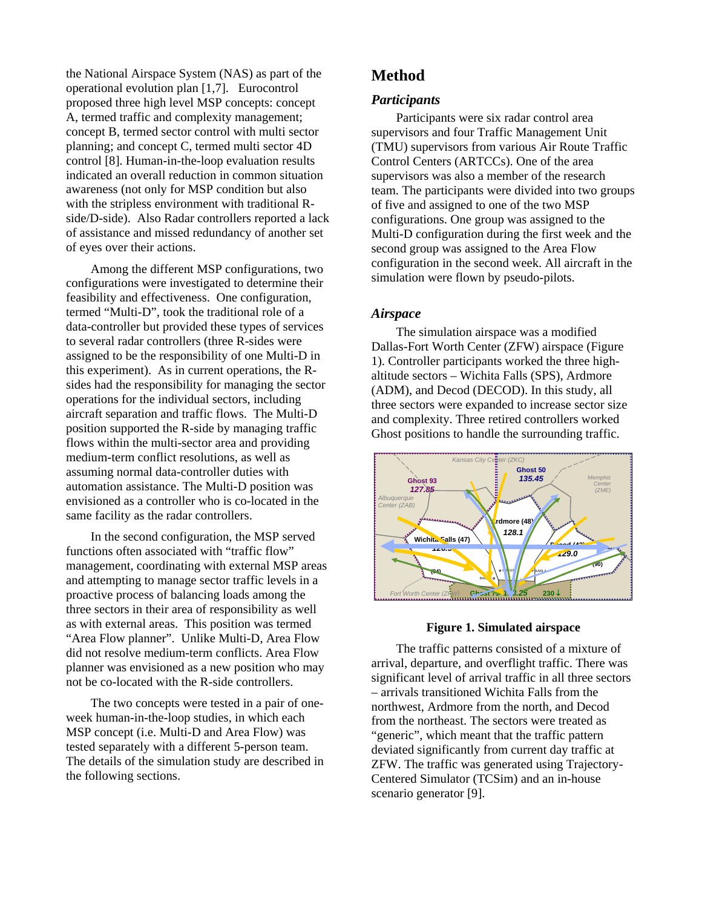the National Airspace System (NAS) as part of the operational evolution plan [1,7]. Eurocontrol proposed three high level MSP concepts: concept A, termed traffic and complexity management; concept B, termed sector control with multi sector planning; and concept C, termed multi sector 4D control [8]. Human-in-the-loop evaluation results indicated an overall reduction in common situation awareness (not only for MSP condition but also with the stripless environment with traditional Rside/D-side). Also Radar controllers reported a lack of assistance and missed redundancy of another set of eyes over their actions.

Among the different MSP configurations, two configurations were investigated to determine their feasibility and effectiveness. One configuration, termed "Multi-D", took the traditional role of a data-controller but provided these types of services to several radar controllers (three R-sides were assigned to be the responsibility of one Multi-D in this experiment). As in current operations, the Rsides had the responsibility for managing the sector operations for the individual sectors, including aircraft separation and traffic flows. The Multi-D position supported the R-side by managing traffic flows within the multi-sector area and providing medium-term conflict resolutions, as well as assuming normal data-controller duties with automation assistance. The Multi-D position was envisioned as a controller who is co-located in the same facility as the radar controllers.

In the second configuration, the MSP served functions often associated with "traffic flow" management, coordinating with external MSP areas and attempting to manage sector traffic levels in a proactive process of balancing loads among the three sectors in their area of responsibility as well as with external areas. This position was termed "Area Flow planner". Unlike Multi-D, Area Flow did not resolve medium-term conflicts. Area Flow planner was envisioned as a new position who may not be co-located with the R-side controllers.

The two concepts were tested in a pair of oneweek human-in-the-loop studies, in which each MSP concept (i.e. Multi-D and Area Flow) was tested separately with a different 5-person team. The details of the simulation study are described in the following sections.

# **Method**

#### *Participants*

Participants were six radar control area supervisors and four Traffic Management Unit (TMU) supervisors from various Air Route Traffic Control Centers (ARTCCs). One of the area supervisors was also a member of the research team. The participants were divided into two groups of five and assigned to one of the two MSP configurations. One group was assigned to the Multi-D configuration during the first week and the second group was assigned to the Area Flow configuration in the second week. All aircraft in the simulation were flown by pseudo-pilots.

### *Airspace*

The simulation airspace was a modified Dallas-Fort Worth Center (ZFW) airspace (Figure 1). Controller participants worked the three highaltitude sectors – Wichita Falls (SPS), Ardmore (ADM), and Decod (DECOD). In this study, all three sectors were expanded to increase sector size and complexity. Three retired controllers worked Ghost positions to handle the surrounding traffic.





The traffic patterns consisted of a mixture of arrival, departure, and overflight traffic. There was significant level of arrival traffic in all three sectors – arrivals transitioned Wichita Falls from the northwest, Ardmore from the north, and Decod from the northeast. The sectors were treated as "generic", which meant that the traffic pattern deviated significantly from current day traffic at ZFW. The traffic was generated using Trajectory-Centered Simulator (TCSim) and an in-house scenario generator [9].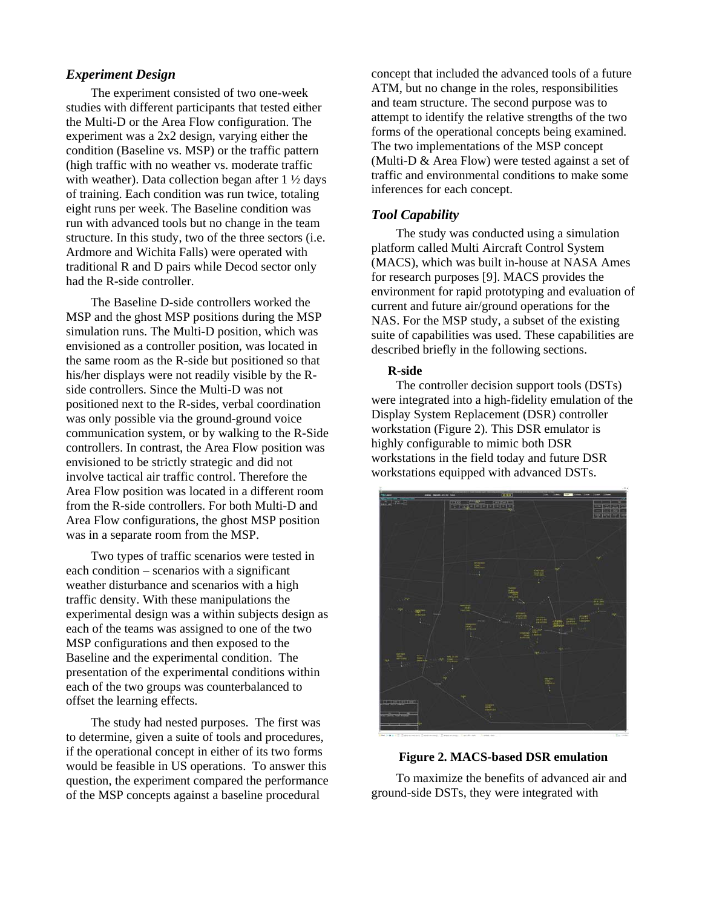### *Experiment Design*

The experiment consisted of two one-week studies with different participants that tested either the Multi-D or the Area Flow configuration. The experiment was a 2x2 design, varying either the condition (Baseline vs. MSP) or the traffic pattern (high traffic with no weather vs. moderate traffic with weather). Data collection began after 1  $\frac{1}{2}$  days of training. Each condition was run twice, totaling eight runs per week. The Baseline condition was run with advanced tools but no change in the team structure. In this study, two of the three sectors (i.e. Ardmore and Wichita Falls) were operated with traditional R and D pairs while Decod sector only had the R-side controller.

The Baseline D-side controllers worked the MSP and the ghost MSP positions during the MSP simulation runs. The Multi-D position, which was envisioned as a controller position, was located in the same room as the R-side but positioned so that his/her displays were not readily visible by the Rside controllers. Since the Multi-D was not positioned next to the R-sides, verbal coordination was only possible via the ground-ground voice communication system, or by walking to the R-Side controllers. In contrast, the Area Flow position was envisioned to be strictly strategic and did not involve tactical air traffic control. Therefore the Area Flow position was located in a different room from the R-side controllers. For both Multi-D and Area Flow configurations, the ghost MSP position was in a separate room from the MSP.

Two types of traffic scenarios were tested in each condition – scenarios with a significant weather disturbance and scenarios with a high traffic density. With these manipulations the experimental design was a within subjects design as each of the teams was assigned to one of the two MSP configurations and then exposed to the Baseline and the experimental condition. The presentation of the experimental conditions within each of the two groups was counterbalanced to offset the learning effects.

The study had nested purposes. The first was to determine, given a suite of tools and procedures, if the operational concept in either of its two forms would be feasible in US operations. To answer this question, the experiment compared the performance of the MSP concepts against a baseline procedural

concept that included the advanced tools of a future ATM, but no change in the roles, responsibilities and team structure. The second purpose was to attempt to identify the relative strengths of the two forms of the operational concepts being examined. The two implementations of the MSP concept (Multi-D & Area Flow) were tested against a set of traffic and environmental conditions to make some inferences for each concept.

## *Tool Capability*

The study was conducted using a simulation platform called Multi Aircraft Control System (MACS), which was built in-house at NASA Ames for research purposes [9]. MACS provides the environment for rapid prototyping and evaluation of current and future air/ground operations for the NAS. For the MSP study, a subset of the existing suite of capabilities was used. These capabilities are described briefly in the following sections.

#### **R-side**

The controller decision support tools (DSTs) were integrated into a high-fidelity emulation of the Display System Replacement (DSR) controller workstation (Figure 2). This DSR emulator is highly configurable to mimic both DSR workstations in the field today and future DSR workstations equipped with advanced DSTs.



**Figure 2. MACS-based DSR emulation** 

To maximize the benefits of advanced air and ground-side DSTs, they were integrated with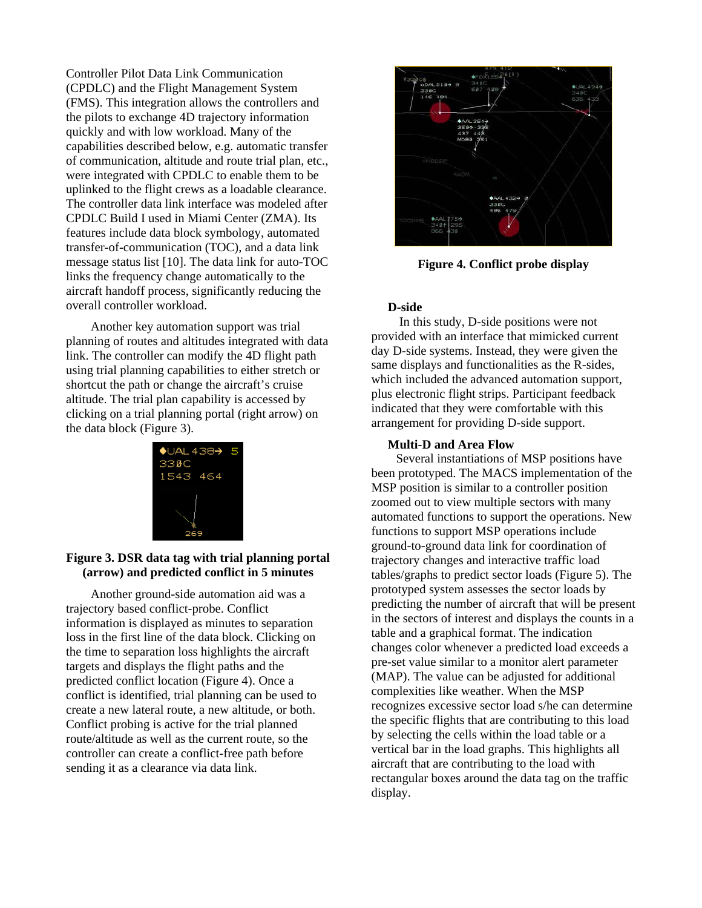Controller Pilot Data Link Communication (CPDLC) and the Flight Management System (FMS). This integration allows the controllers and the pilots to exchange 4D trajectory information quickly and with low workload. Many of the capabilities described below, e.g. automatic transfer of communication, altitude and route trial plan, etc., were integrated with CPDLC to enable them to be uplinked to the flight crews as a loadable clearance. The controller data link interface was modeled after CPDLC Build I used in Miami Center (ZMA). Its features include data block symbology, automated transfer-of-communication (TOC), and a data link message status list [10]. The data link for auto-TOC links the frequency change automatically to the aircraft handoff process, significantly reducing the overall controller workload.

Another key automation support was trial planning of routes and altitudes integrated with data link. The controller can modify the 4D flight path using trial planning capabilities to either stretch or shortcut the path or change the aircraft's cruise altitude. The trial plan capability is accessed by clicking on a trial planning portal (right arrow) on the data block (Figure 3).



### **Figure 3. DSR data tag with trial planning portal (arrow) and predicted conflict in 5 minutes**

Another ground-side automation aid was a trajectory based conflict-probe. Conflict information is displayed as minutes to separation loss in the first line of the data block. Clicking on the time to separation loss highlights the aircraft targets and displays the flight paths and the predicted conflict location (Figure 4). Once a conflict is identified, trial planning can be used to create a new lateral route, a new altitude, or both. Conflict probing is active for the trial planned route/altitude as well as the current route, so the controller can create a conflict-free path before sending it as a clearance via data link.



**Figure 4. Conflict probe display** 

## **D-side**

 In this study, D-side positions were not provided with an interface that mimicked current day D-side systems. Instead, they were given the same displays and functionalities as the R-sides, which included the advanced automation support, plus electronic flight strips. Participant feedback indicated that they were comfortable with this arrangement for providing D-side support.

## **Multi-D and Area Flow**

Several instantiations of MSP positions have been prototyped. The MACS implementation of the MSP position is similar to a controller position zoomed out to view multiple sectors with many automated functions to support the operations. New functions to support MSP operations include ground-to-ground data link for coordination of trajectory changes and interactive traffic load tables/graphs to predict sector loads (Figure 5). The prototyped system assesses the sector loads by predicting the number of aircraft that will be present in the sectors of interest and displays the counts in a table and a graphical format. The indication changes color whenever a predicted load exceeds a pre-set value similar to a monitor alert parameter (MAP). The value can be adjusted for additional complexities like weather. When the MSP recognizes excessive sector load s/he can determine the specific flights that are contributing to this load by selecting the cells within the load table or a vertical bar in the load graphs. This highlights all aircraft that are contributing to the load with rectangular boxes around the data tag on the traffic display.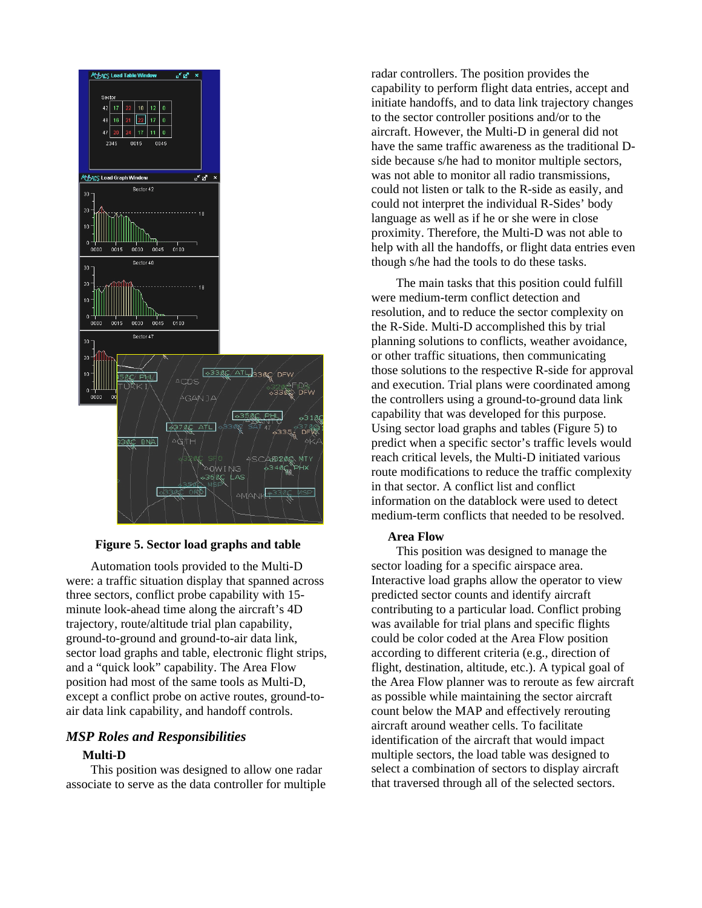

## **Figure 5. Sector load graphs and table**

Automation tools provided to the Multi-D were: a traffic situation display that spanned across three sectors, conflict probe capability with 15 minute look-ahead time along the aircraft's 4D trajectory, route/altitude trial plan capability, ground-to-ground and ground-to-air data link, sector load graphs and table, electronic flight strips, and a "quick look" capability. The Area Flow position had most of the same tools as Multi-D, except a conflict probe on active routes, ground-toair data link capability, and handoff controls.

# *MSP Roles and Responsibilities*

#### **Multi-D**

This position was designed to allow one radar associate to serve as the data controller for multiple radar controllers. The position provides the capability to perform flight data entries, accept and initiate handoffs, and to data link trajectory changes to the sector controller positions and/or to the aircraft. However, the Multi-D in general did not have the same traffic awareness as the traditional Dside because s/he had to monitor multiple sectors, was not able to monitor all radio transmissions, could not listen or talk to the R-side as easily, and could not interpret the individual R-Sides' body language as well as if he or she were in close proximity. Therefore, the Multi-D was not able to help with all the handoffs, or flight data entries even though s/he had the tools to do these tasks.

The main tasks that this position could fulfill were medium-term conflict detection and resolution, and to reduce the sector complexity on the R-Side. Multi-D accomplished this by trial planning solutions to conflicts, weather avoidance, or other traffic situations, then communicating those solutions to the respective R-side for approval and execution. Trial plans were coordinated among the controllers using a ground-to-ground data link capability that was developed for this purpose. Using sector load graphs and tables (Figure 5) to predict when a specific sector's traffic levels would reach critical levels, the Multi-D initiated various route modifications to reduce the traffic complexity in that sector. A conflict list and conflict information on the datablock were used to detect medium-term conflicts that needed to be resolved.

#### **Area Flow**

This position was designed to manage the sector loading for a specific airspace area. Interactive load graphs allow the operator to view predicted sector counts and identify aircraft contributing to a particular load. Conflict probing was available for trial plans and specific flights could be color coded at the Area Flow position according to different criteria (e.g., direction of flight, destination, altitude, etc.). A typical goal of the Area Flow planner was to reroute as few aircraft as possible while maintaining the sector aircraft count below the MAP and effectively rerouting aircraft around weather cells. To facilitate identification of the aircraft that would impact multiple sectors, the load table was designed to select a combination of sectors to display aircraft that traversed through all of the selected sectors.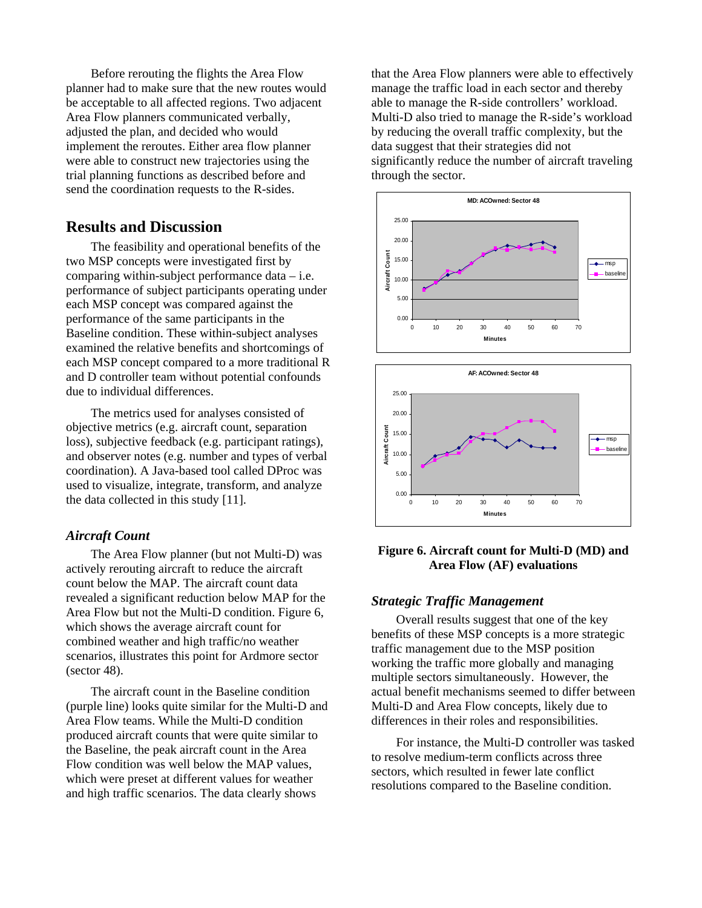Before rerouting the flights the Area Flow planner had to make sure that the new routes would be acceptable to all affected regions. Two adjacent Area Flow planners communicated verbally, adjusted the plan, and decided who would implement the reroutes. Either area flow planner were able to construct new trajectories using the trial planning functions as described before and send the coordination requests to the R-sides.

# **Results and Discussion**

The feasibility and operational benefits of the two MSP concepts were investigated first by comparing within-subject performance data – i.e. performance of subject participants operating under each MSP concept was compared against the performance of the same participants in the Baseline condition. These within-subject analyses examined the relative benefits and shortcomings of each MSP concept compared to a more traditional R and D controller team without potential confounds due to individual differences.

The metrics used for analyses consisted of objective metrics (e.g. aircraft count, separation loss), subjective feedback (e.g. participant ratings), and observer notes (e.g. number and types of verbal coordination). A Java-based tool called DProc was used to visualize, integrate, transform, and analyze the data collected in this study [11].

## *Aircraft Count*

The Area Flow planner (but not Multi-D) was actively rerouting aircraft to reduce the aircraft count below the MAP. The aircraft count data revealed a significant reduction below MAP for the Area Flow but not the Multi-D condition. Figure 6, which shows the average aircraft count for combined weather and high traffic/no weather scenarios, illustrates this point for Ardmore sector (sector 48).

The aircraft count in the Baseline condition (purple line) looks quite similar for the Multi-D and Area Flow teams. While the Multi-D condition produced aircraft counts that were quite similar to the Baseline, the peak aircraft count in the Area Flow condition was well below the MAP values, which were preset at different values for weather and high traffic scenarios. The data clearly shows

that the Area Flow planners were able to effectively manage the traffic load in each sector and thereby able to manage the R-side controllers' workload. Multi-D also tried to manage the R-side's workload by reducing the overall traffic complexity, but the data suggest that their strategies did not significantly reduce the number of aircraft traveling through the sector.





### **Figure 6. Aircraft count for Multi-D (MD) and Area Flow (AF) evaluations**

## *Strategic Traffic Management*

Overall results suggest that one of the key benefits of these MSP concepts is a more strategic traffic management due to the MSP position working the traffic more globally and managing multiple sectors simultaneously. However, the actual benefit mechanisms seemed to differ between Multi-D and Area Flow concepts, likely due to differences in their roles and responsibilities.

For instance, the Multi-D controller was tasked to resolve medium-term conflicts across three sectors, which resulted in fewer late conflict resolutions compared to the Baseline condition.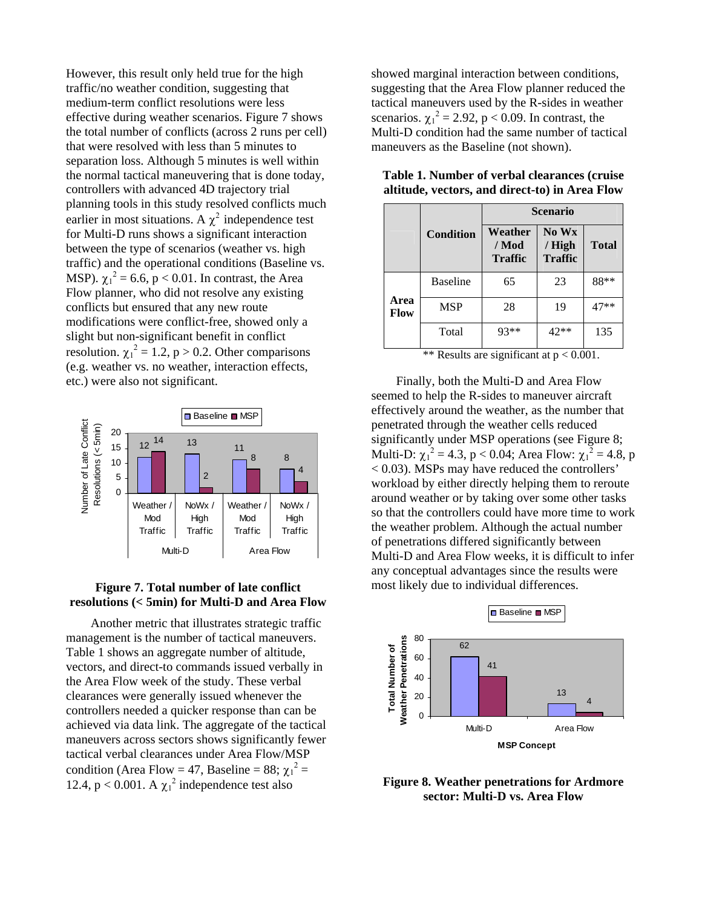However, this result only held true for the high traffic/no weather condition, suggesting that medium-term conflict resolutions were less effective during weather scenarios. Figure 7 shows the total number of conflicts (across 2 runs per cell) that were resolved with less than 5 minutes to separation loss. Although 5 minutes is well within the normal tactical maneuvering that is done today, controllers with advanced 4D trajectory trial planning tools in this study resolved conflicts much earlier in most situations. A  $\chi^2$  independence test for Multi-D runs shows a significant interaction between the type of scenarios (weather vs. high traffic) and the operational conditions (Baseline vs. MSP).  $\chi_1^2 = 6.6$ , p < 0.01. In contrast, the Area Flow planner, who did not resolve any existing conflicts but ensured that any new route modifications were conflict-free, showed only a slight but non-significant benefit in conflict resolution.  $\chi_1^2 = 1.2$ ,  $p > 0.2$ . Other comparisons (e.g. weather vs. no weather, interaction effects, etc.) were also not significant.



#### **Figure 7. Total number of late conflict resolutions (< 5min) for Multi-D and Area Flow**

Another metric that illustrates strategic traffic management is the number of tactical maneuvers. Table 1 shows an aggregate number of altitude, vectors, and direct-to commands issued verbally in the Area Flow week of the study. These verbal clearances were generally issued whenever the controllers needed a quicker response than can be achieved via data link. The aggregate of the tactical maneuvers across sectors shows significantly fewer tactical verbal clearances under Area Flow/MSP condition (Area Flow = 47, Baseline = 88;  $\chi_1^2$  = 12.4,  $p < 0.001$ . A  $\chi_1^2$  independence test also

showed marginal interaction between conditions, suggesting that the Area Flow planner reduced the tactical maneuvers used by the R-sides in weather scenarios.  $\chi_1^2 = 2.92$ , p < 0.09. In contrast, the Multi-D condition had the same number of tactical maneuvers as the Baseline (not shown).

|              |                  | <b>Scenario</b>                    |                                   |              |
|--------------|------------------|------------------------------------|-----------------------------------|--------------|
|              | <b>Condition</b> | Weather<br>/ Mod<br><b>Traffic</b> | No Wx<br>/ High<br><b>Traffic</b> | <b>Total</b> |
|              | <b>Baseline</b>  | 65                                 | 23                                | 88**         |
| Area<br>Flow | <b>MSP</b>       | 28                                 | 19                                | 47**         |
|              | Total            | $93**$                             | $42**$                            | 135          |

### **Table 1. Number of verbal clearances (cruise altitude, vectors, and direct-to) in Area Flow**

\*\* Results are significant at  $p < 0.001$ .

Finally, both the Multi-D and Area Flow seemed to help the R-sides to maneuver aircraft effectively around the weather, as the number that penetrated through the weather cells reduced significantly under MSP operations (see Figure 8; Multi-D:  $\chi_1^2 = 4.3$ , p < 0.04; Area Flow:  $\chi_1^2 = 4.8$ , p < 0.03). MSPs may have reduced the controllers' workload by either directly helping them to reroute around weather or by taking over some other tasks so that the controllers could have more time to work the weather problem. Although the actual number of penetrations differed significantly between Multi-D and Area Flow weeks, it is difficult to infer any conceptual advantages since the results were most likely due to individual differences.



**Figure 8. Weather penetrations for Ardmore sector: Multi-D vs. Area Flow**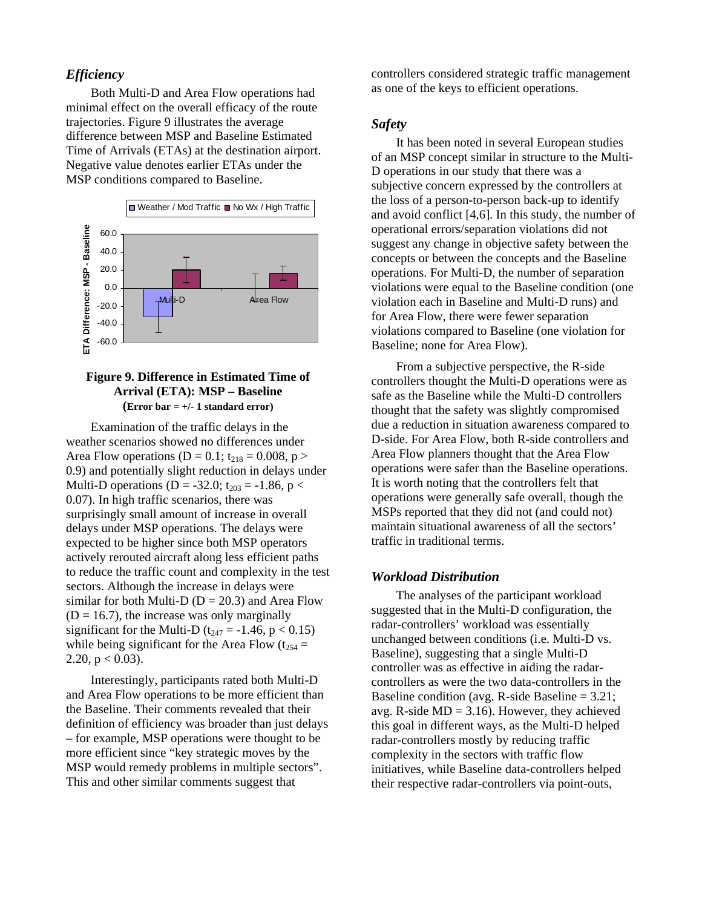# *Efficiency*

Both Multi-D and Area Flow operations had minimal effect on the overall efficacy of the route trajectories. Figure 9 illustrates the average difference between MSP and Baseline Estimated Time of Arrivals (ETAs) at the destination airport. Negative value denotes earlier ETAs under the MSP conditions compared to Baseline.



## **Figure 9. Difference in Estimated Time of Arrival (ETA): MSP – Baseline (Error bar = +/- 1 standard error)**

Examination of the traffic delays in the weather scenarios showed no differences under Area Flow operations (D = 0.1;  $t_{218} = 0.008$ , p > 0.9) and potentially slight reduction in delays under Multi-D operations (D = -32.0; t<sub>203</sub> = -1.86, p < 0.07). In high traffic scenarios, there was surprisingly small amount of increase in overall delays under MSP operations. The delays were expected to be higher since both MSP operators actively rerouted aircraft along less efficient paths to reduce the traffic count and complexity in the test sectors. Although the increase in delays were similar for both Multi-D  $(D = 20.3)$  and Area Flow  $(D = 16.7)$ , the increase was only marginally significant for the Multi-D ( $t_{247} = -1.46$ , p < 0.15) while being significant for the Area Flow  $(t_{254} =$ 2.20,  $p < 0.03$ ).

Interestingly, participants rated both Multi-D and Area Flow operations to be more efficient than the Baseline. Their comments revealed that their definition of efficiency was broader than just delays – for example, MSP operations were thought to be more efficient since "key strategic moves by the MSP would remedy problems in multiple sectors". This and other similar comments suggest that

controllers considered strategic traffic management as one of the keys to efficient operations.

#### *Safety*

It has been noted in several European studies of an MSP concept similar in structure to the Multi-D operations in our study that there was a subjective concern expressed by the controllers at the loss of a person-to-person back-up to identify and avoid conflict [4,6]. In this study, the number of operational errors/separation violations did not suggest any change in objective safety between the concepts or between the concepts and the Baseline operations. For Multi-D, the number of separation violations were equal to the Baseline condition (one violation each in Baseline and Multi-D runs) and for Area Flow, there were fewer separation violations compared to Baseline (one violation for Baseline; none for Area Flow).

From a subjective perspective, the R-side controllers thought the Multi-D operations were as safe as the Baseline while the Multi-D controllers thought that the safety was slightly compromised due a reduction in situation awareness compared to D-side. For Area Flow, both R-side controllers and Area Flow planners thought that the Area Flow operations were safer than the Baseline operations. It is worth noting that the controllers felt that operations were generally safe overall, though the MSPs reported that they did not (and could not) maintain situational awareness of all the sectors' traffic in traditional terms.

#### *Workload Distribution*

The analyses of the participant workload suggested that in the Multi-D configuration, the radar-controllers' workload was essentially unchanged between conditions (i.e. Multi-D vs. Baseline), suggesting that a single Multi-D controller was as effective in aiding the radarcontrollers as were the two data-controllers in the Baseline condition (avg. R-side Baseline  $= 3.21$ ; avg. R-side  $MD = 3.16$ ). However, they achieved this goal in different ways, as the Multi-D helped radar-controllers mostly by reducing traffic complexity in the sectors with traffic flow initiatives, while Baseline data-controllers helped their respective radar-controllers via point-outs,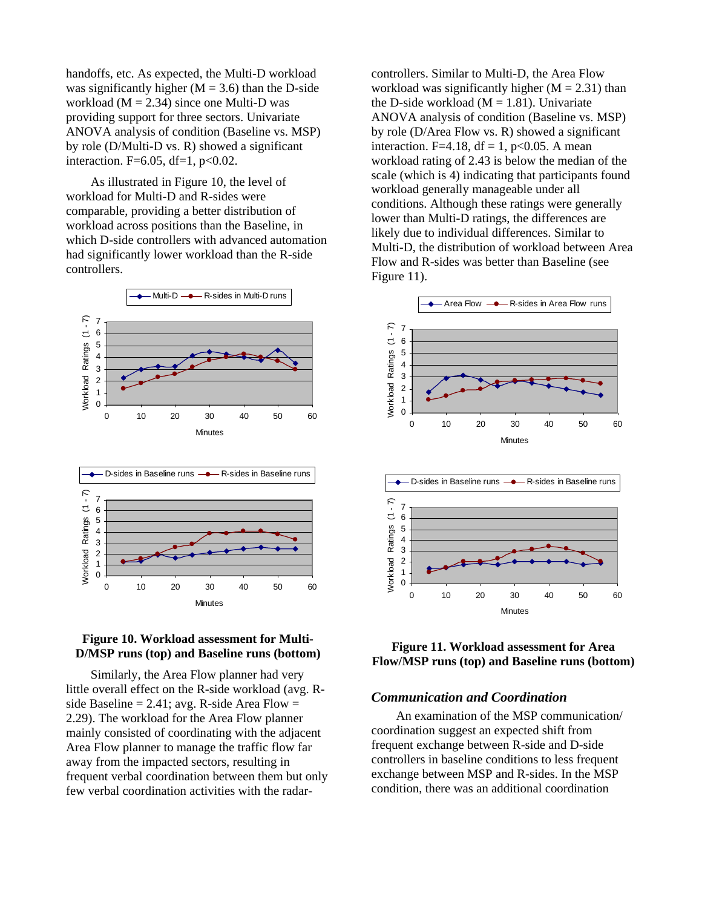handoffs, etc. As expected, the Multi-D workload was significantly higher  $(M = 3.6)$  than the D-side workload ( $M = 2.34$ ) since one Multi-D was providing support for three sectors. Univariate ANOVA analysis of condition (Baseline vs. MSP) by role (D/Multi-D vs. R) showed a significant interaction. F=6.05, df=1,  $p<0.02$ .

As illustrated in Figure 10, the level of workload for Multi-D and R-sides were comparable, providing a better distribution of workload across positions than the Baseline, in which D-side controllers with advanced automation had significantly lower workload than the R-side controllers.



### **Figure 10. Workload assessment for Multi-D/MSP runs (top) and Baseline runs (bottom)**

Similarly, the Area Flow planner had very little overall effect on the R-side workload (avg. Rside Baseline = 2.41; avg. R-side Area Flow = 2.29). The workload for the Area Flow planner mainly consisted of coordinating with the adjacent Area Flow planner to manage the traffic flow far away from the impacted sectors, resulting in frequent verbal coordination between them but only few verbal coordination activities with the radar-

controllers. Similar to Multi-D, the Area Flow workload was significantly higher  $(M = 2.31)$  than the D-side workload  $(M = 1.81)$ . Univariate ANOVA analysis of condition (Baseline vs. MSP) by role (D/Area Flow vs. R) showed a significant interaction. F=4.18, df = 1, p<0.05. A mean workload rating of 2.43 is below the median of the scale (which is 4) indicating that participants found workload generally manageable under all conditions. Although these ratings were generally lower than Multi-D ratings, the differences are likely due to individual differences. Similar to Multi-D, the distribution of workload between Area Flow and R-sides was better than Baseline (see Figure 11).





#### **Figure 11. Workload assessment for Area Flow/MSP runs (top) and Baseline runs (bottom)**

#### *Communication and Coordination*

An examination of the MSP communication/ coordination suggest an expected shift from frequent exchange between R-side and D-side controllers in baseline conditions to less frequent exchange between MSP and R-sides. In the MSP condition, there was an additional coordination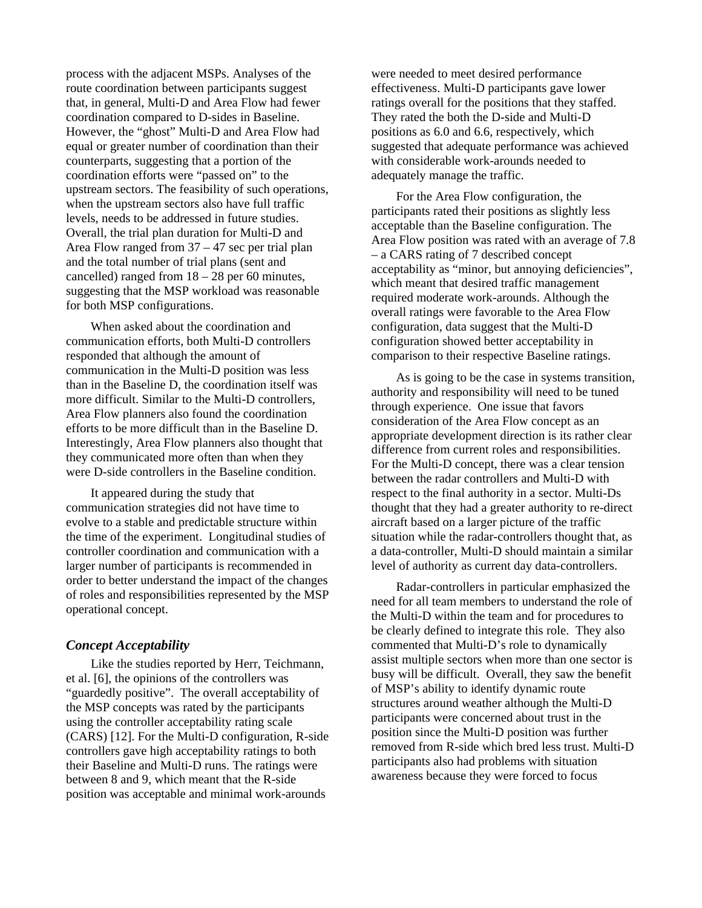process with the adjacent MSPs. Analyses of the route coordination between participants suggest that, in general, Multi-D and Area Flow had fewer coordination compared to D-sides in Baseline. However, the "ghost" Multi-D and Area Flow had equal or greater number of coordination than their counterparts, suggesting that a portion of the coordination efforts were "passed on" to the upstream sectors. The feasibility of such operations, when the upstream sectors also have full traffic levels, needs to be addressed in future studies. Overall, the trial plan duration for Multi-D and Area Flow ranged from 37 – 47 sec per trial plan and the total number of trial plans (sent and cancelled) ranged from  $18 - 28$  per 60 minutes, suggesting that the MSP workload was reasonable for both MSP configurations.

When asked about the coordination and communication efforts, both Multi-D controllers responded that although the amount of communication in the Multi-D position was less than in the Baseline D, the coordination itself was more difficult. Similar to the Multi-D controllers, Area Flow planners also found the coordination efforts to be more difficult than in the Baseline D. Interestingly, Area Flow planners also thought that they communicated more often than when they were D-side controllers in the Baseline condition.

It appeared during the study that communication strategies did not have time to evolve to a stable and predictable structure within the time of the experiment. Longitudinal studies of controller coordination and communication with a larger number of participants is recommended in order to better understand the impact of the changes of roles and responsibilities represented by the MSP operational concept.

### *Concept Acceptability*

Like the studies reported by Herr, Teichmann, et al. [6], the opinions of the controllers was "guardedly positive". The overall acceptability of the MSP concepts was rated by the participants using the controller acceptability rating scale (CARS) [12]. For the Multi-D configuration, R-side controllers gave high acceptability ratings to both their Baseline and Multi-D runs. The ratings were between 8 and 9, which meant that the R-side position was acceptable and minimal work-arounds

were needed to meet desired performance effectiveness. Multi-D participants gave lower ratings overall for the positions that they staffed. They rated the both the D-side and Multi-D positions as 6.0 and 6.6, respectively, which suggested that adequate performance was achieved with considerable work-arounds needed to adequately manage the traffic.

For the Area Flow configuration, the participants rated their positions as slightly less acceptable than the Baseline configuration. The Area Flow position was rated with an average of 7.8 – a CARS rating of 7 described concept acceptability as "minor, but annoying deficiencies", which meant that desired traffic management required moderate work-arounds. Although the overall ratings were favorable to the Area Flow configuration, data suggest that the Multi-D configuration showed better acceptability in comparison to their respective Baseline ratings.

As is going to be the case in systems transition, authority and responsibility will need to be tuned through experience. One issue that favors consideration of the Area Flow concept as an appropriate development direction is its rather clear difference from current roles and responsibilities. For the Multi-D concept, there was a clear tension between the radar controllers and Multi-D with respect to the final authority in a sector. Multi-Ds thought that they had a greater authority to re-direct aircraft based on a larger picture of the traffic situation while the radar-controllers thought that, as a data-controller, Multi-D should maintain a similar level of authority as current day data-controllers.

Radar-controllers in particular emphasized the need for all team members to understand the role of the Multi-D within the team and for procedures to be clearly defined to integrate this role. They also commented that Multi-D's role to dynamically assist multiple sectors when more than one sector is busy will be difficult. Overall, they saw the benefit of MSP's ability to identify dynamic route structures around weather although the Multi-D participants were concerned about trust in the position since the Multi-D position was further removed from R-side which bred less trust. Multi-D participants also had problems with situation awareness because they were forced to focus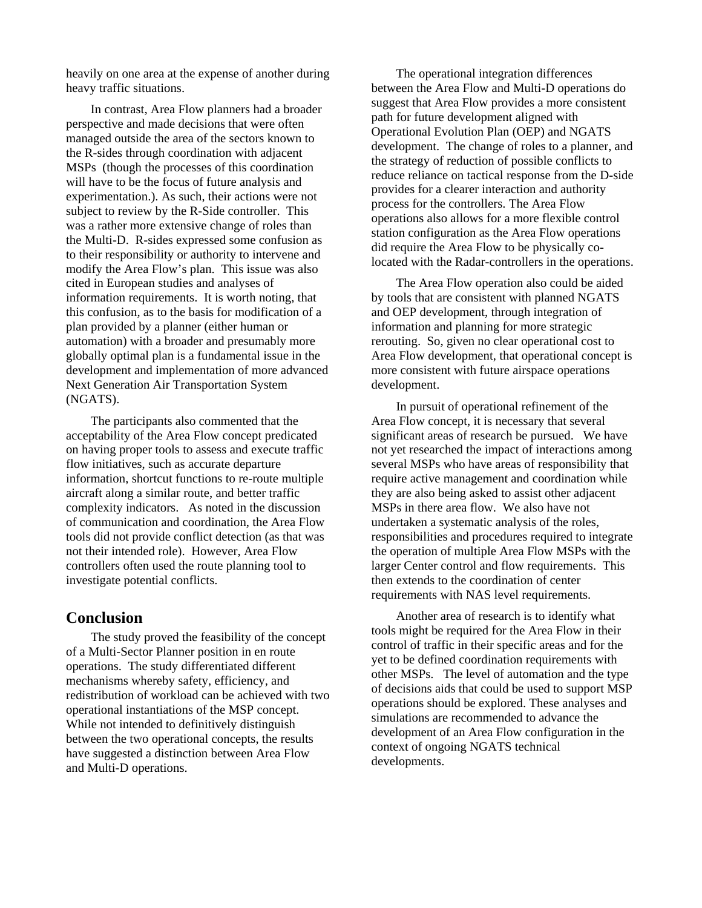heavily on one area at the expense of another during heavy traffic situations.

In contrast, Area Flow planners had a broader perspective and made decisions that were often managed outside the area of the sectors known to the R-sides through coordination with adjacent MSPs (though the processes of this coordination will have to be the focus of future analysis and experimentation.). As such, their actions were not subject to review by the R-Side controller. This was a rather more extensive change of roles than the Multi-D. R-sides expressed some confusion as to their responsibility or authority to intervene and modify the Area Flow's plan. This issue was also cited in European studies and analyses of information requirements. It is worth noting, that this confusion, as to the basis for modification of a plan provided by a planner (either human or automation) with a broader and presumably more globally optimal plan is a fundamental issue in the development and implementation of more advanced Next Generation Air Transportation System (NGATS).

The participants also commented that the acceptability of the Area Flow concept predicated on having proper tools to assess and execute traffic flow initiatives, such as accurate departure information, shortcut functions to re-route multiple aircraft along a similar route, and better traffic complexity indicators. As noted in the discussion of communication and coordination, the Area Flow tools did not provide conflict detection (as that was not their intended role). However, Area Flow controllers often used the route planning tool to investigate potential conflicts.

# **Conclusion**

The study proved the feasibility of the concept of a Multi-Sector Planner position in en route operations. The study differentiated different mechanisms whereby safety, efficiency, and redistribution of workload can be achieved with two operational instantiations of the MSP concept. While not intended to definitively distinguish between the two operational concepts, the results have suggested a distinction between Area Flow and Multi-D operations.

The operational integration differences between the Area Flow and Multi-D operations do suggest that Area Flow provides a more consistent path for future development aligned with Operational Evolution Plan (OEP) and NGATS development. The change of roles to a planner, and the strategy of reduction of possible conflicts to reduce reliance on tactical response from the D-side provides for a clearer interaction and authority process for the controllers. The Area Flow operations also allows for a more flexible control station configuration as the Area Flow operations did require the Area Flow to be physically colocated with the Radar-controllers in the operations.

The Area Flow operation also could be aided by tools that are consistent with planned NGATS and OEP development, through integration of information and planning for more strategic rerouting. So, given no clear operational cost to Area Flow development, that operational concept is more consistent with future airspace operations development.

In pursuit of operational refinement of the Area Flow concept, it is necessary that several significant areas of research be pursued. We have not yet researched the impact of interactions among several MSPs who have areas of responsibility that require active management and coordination while they are also being asked to assist other adjacent MSPs in there area flow. We also have not undertaken a systematic analysis of the roles, responsibilities and procedures required to integrate the operation of multiple Area Flow MSPs with the larger Center control and flow requirements. This then extends to the coordination of center requirements with NAS level requirements.

Another area of research is to identify what tools might be required for the Area Flow in their control of traffic in their specific areas and for the yet to be defined coordination requirements with other MSPs. The level of automation and the type of decisions aids that could be used to support MSP operations should be explored. These analyses and simulations are recommended to advance the development of an Area Flow configuration in the context of ongoing NGATS technical developments.